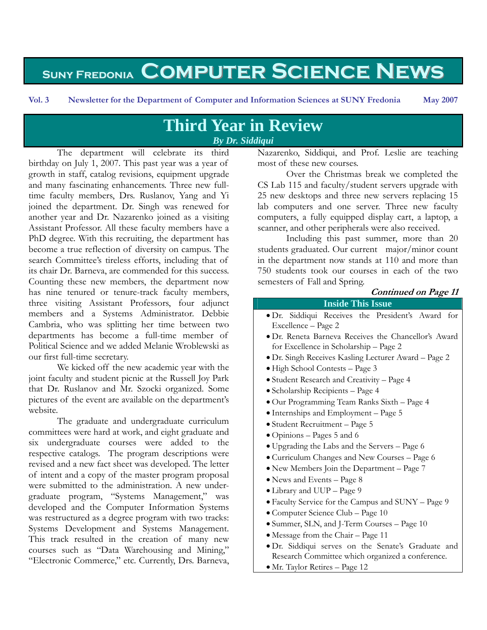# **Suny Fredonia Computer Science News**

# **Third Year in Review**  *By Dr. Siddiqui*

The department will celebrate its third birthday on July 1, 2007. This past year was a year of growth in staff, catalog revisions, equipment upgrade and many fascinating enhancements. Three new fulltime faculty members, Drs. Ruslanov, Yang and Yi joined the department. Dr. Singh was renewed for another year and Dr. Nazarenko joined as a visiting Assistant Professor. All these faculty members have a PhD degree. With this recruiting, the department has become a true reflection of diversity on campus. The search Committee's tireless efforts, including that of its chair Dr. Barneva, are commended for this success. Counting these new members, the department now has nine tenured or tenure-track faculty members, three visiting Assistant Professors, four adjunct members and a Systems Administrator. Debbie Cambria, who was splitting her time between two departments has become a full-time member of Political Science and we added Melanie Wroblewski as our first full-time secretary.

We kicked off the new academic year with the joint faculty and student picnic at the Russell Joy Park that Dr. Ruslanov and Mr. Szocki organized. Some pictures of the event are available on the department's website.

The graduate and undergraduate curriculum committees were hard at work, and eight graduate and six undergraduate courses were added to the respective catalogs. The program descriptions were revised and a new fact sheet was developed. The letter of intent and a copy of the master program proposal were submitted to the administration. A new undergraduate program, "Systems Management," was developed and the Computer Information Systems was restructured as a degree program with two tracks: Systems Development and Systems Management. This track resulted in the creation of many new courses such as "Data Warehousing and Mining," "Electronic Commerce," etc. Currently, Drs. Barneva,

Nazarenko, Siddiqui, and Prof. Leslie are teaching most of these new courses.

Over the Christmas break we completed the CS Lab 115 and faculty/student servers upgrade with 25 new desktops and three new servers replacing 15 lab computers and one server. Three new faculty computers, a fully equipped display cart, a laptop, a scanner, and other peripherals were also received.

Including this past summer, more than 20 students graduated. Our current major/minor count in the department now stands at 110 and more than 750 students took our courses in each of the two semesters of Fall and Spring.

#### **Continued on Page 11**

#### **Inside This Issue**

- Dr. Siddiqui Receives the President's Award for Excellence – Page 2
- Dr. Reneta Barneva Receives the Chancellor's Award for Excellence in Scholarship – Page 2
- Dr. Singh Receives Kasling Lecturer Award Page 2
- High School Contests Page 3
- Student Research and Creativity Page 4
- Scholarship Recipients Page 4
- Our Programming Team Ranks Sixth Page 4
- Internships and Employment Page 5
- Student Recruitment Page 5
- Opinions Pages 5 and 6
- Upgrading the Labs and the Servers Page 6
- Curriculum Changes and New Courses Page 6
- New Members Join the Department Page 7
- News and Events Page 8
- Library and UUP Page 9
- Faculty Service for the Campus and SUNY Page 9
- Computer Science Club Page 10
- Summer, SLN, and J-Term Courses Page 10
- Message from the Chair Page 11
- Dr. Siddiqui serves on the Senate's Graduate and Research Committee which organized a conference.
- Mr. Taylor Retires Page 12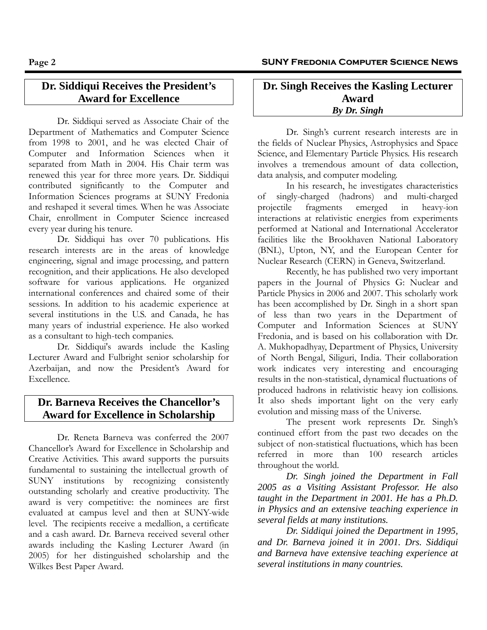## **Dr. Siddiqui Receives the President's Award for Excellence**

Dr. Siddiqui served as Associate Chair of the Department of Mathematics and Computer Science from 1998 to 2001, and he was elected Chair of Computer and Information Sciences when it separated from Math in 2004. His Chair term was renewed this year for three more years. Dr. Siddiqui contributed significantly to the Computer and Information Sciences programs at SUNY Fredonia and reshaped it several times. When he was Associate Chair, enrollment in Computer Science increased every year during his tenure.

Dr. Siddiqui has over 70 publications. His research interests are in the areas of knowledge engineering, signal and image processing, and pattern recognition, and their applications. He also developed software for various applications. He organized international conferences and chaired some of their sessions. In addition to his academic experience at several institutions in the U.S. and Canada, he has many years of industrial experience. He also worked as a consultant to high-tech companies.

Dr. Siddiqui's awards include the Kasling Lecturer Award and Fulbright senior scholarship for Azerbaijan, and now the President's Award for Excellence.

## **Dr. Barneva Receives the Chancellor's Award for Excellence in Scholarship**

Dr. Reneta Barneva was conferred the 2007 Chancellor's Award for Excellence in Scholarship and Creative Activities. This award supports the pursuits fundamental to sustaining the intellectual growth of SUNY institutions by recognizing consistently outstanding scholarly and creative productivity. The award is very competitive: the nominees are first evaluated at campus level and then at SUNY-wide level. The recipients receive a medallion, a certificate and a cash award. Dr. Barneva received several other awards including the Kasling Lecturer Award (in 2005) for her distinguished scholarship and the Wilkes Best Paper Award.

#### **Dr. Singh Receives the Kasling Lecturer Award**  *By Dr. Singh*

Dr. Singh's current research interests are in the fields of Nuclear Physics, Astrophysics and Space Science, and Elementary Particle Physics. His research involves a tremendous amount of data collection, data analysis, and computer modeling.

In his research, he investigates characteristics of singly-charged (hadrons) and multi-charged projectile fragments emerged in heavy-ion interactions at relativistic energies from experiments performed at National and International Accelerator facilities like the Brookhaven National Laboratory (BNL), Upton, NY, and the European Center for Nuclear Research (CERN) in Geneva, Switzerland.

Recently, he has published two very important papers in the Journal of Physics G: Nuclear and Particle Physics in 2006 and 2007. This scholarly work has been accomplished by Dr. Singh in a short span of less than two years in the Department of Computer and Information Sciences at SUNY Fredonia, and is based on his collaboration with Dr. A. Mukhopadhyay, Department of Physics, University of North Bengal, Siliguri, India. Their collaboration work indicates very interesting and encouraging results in the non-statistical, dynamical fluctuations of produced hadrons in relativistic heavy ion collisions. It also sheds important light on the very early evolution and missing mass of the Universe.

The present work represents Dr. Singh's continued effort from the past two decades on the subject of non-statistical fluctuations, which has been referred in more than 100 research articles throughout the world.

*Dr. Singh joined the Department in Fall 2005 as a Visiting Assistant Professor. He also taught in the Department in 2001. He has a Ph.D. in Physics and an extensive teaching experience in several fields at many institutions.* 

*Dr. Siddiqui joined the Department in 1995, and Dr. Barneva joined it in 2001. Drs. Siddiqui and Barneva have extensive teaching experience at several institutions in many countries.*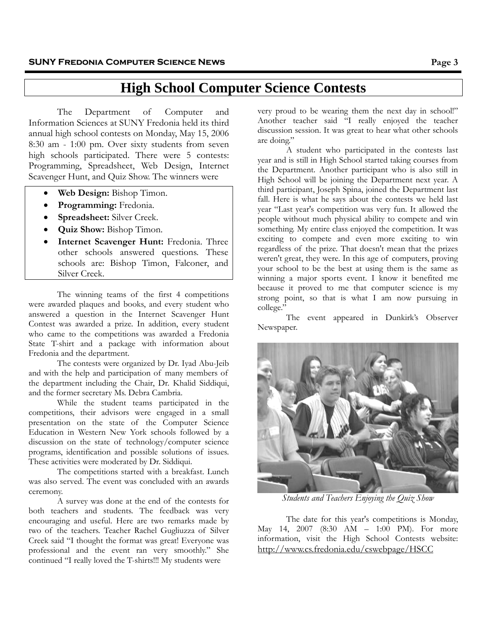# **High School Computer Science Contests**

The Department of Computer and Information Sciences at SUNY Fredonia held its third annual high school contests on Monday, May 15, 2006 8:30 am - 1:00 pm. Over sixty students from seven high schools participated. There were 5 contests: Programming, Spreadsheet, Web Design, Internet Scavenger Hunt, and Quiz Show. The winners were

- **Web Design:** Bishop Timon.
- **Programming:** Fredonia.
- **Spreadsheet:** Silver Creek.
- **Quiz Show:** Bishop Timon.
- **Internet Scavenger Hunt:** Fredonia. Three other schools answered questions. These schools are: Bishop Timon, Falconer, and Silver Creek.

The winning teams of the first 4 competitions were awarded plaques and books, and every student who answered a question in the Internet Scavenger Hunt Contest was awarded a prize. In addition, every student who came to the competitions was awarded a Fredonia State T-shirt and a package with information about Fredonia and the department.

The contests were organized by Dr. Iyad Abu-Jeib and with the help and participation of many members of the department including the Chair, Dr. Khalid Siddiqui, and the former secretary Ms. Debra Cambria.

While the student teams participated in the competitions, their advisors were engaged in a small presentation on the state of the Computer Science Education in Western New York schools followed by a discussion on the state of technology/computer science programs, identification and possible solutions of issues. These activities were moderated by Dr. Siddiqui.

The competitions started with a breakfast. Lunch was also served. The event was concluded with an awards ceremony.

A survey was done at the end of the contests for both teachers and students. The feedback was very encouraging and useful. Here are two remarks made by two of the teachers. Teacher Rachel Gugliuzza of Silver Creek said "I thought the format was great! Everyone was professional and the event ran very smoothly." She continued "I really loved the T-shirts!!! My students were

very proud to be wearing them the next day in school!" Another teacher said "I really enjoyed the teacher discussion session. It was great to hear what other schools are doing."

A student who participated in the contests last year and is still in High School started taking courses from the Department. Another participant who is also still in High School will be joining the Department next year. A third participant, Joseph Spina, joined the Department last fall. Here is what he says about the contests we held last year "Last year's competition was very fun. It allowed the people without much physical ability to compete and win something. My entire class enjoyed the competition. It was exciting to compete and even more exciting to win regardless of the prize. That doesn't mean that the prizes weren't great, they were. In this age of computers, proving your school to be the best at using them is the same as winning a major sports event. I know it benefited me because it proved to me that computer science is my strong point, so that is what I am now pursuing in college."

The event appeared in Dunkirk's Observer Newspaper.



*Students and Teachers Enjoying the Quiz Show* 

The date for this year's competitions is Monday, May 14, 2007 (8:30 AM – 1:00 PM). For more information, visit the High School Contests website: <http://www.cs.fredonia.edu/cswebpage/HSCC>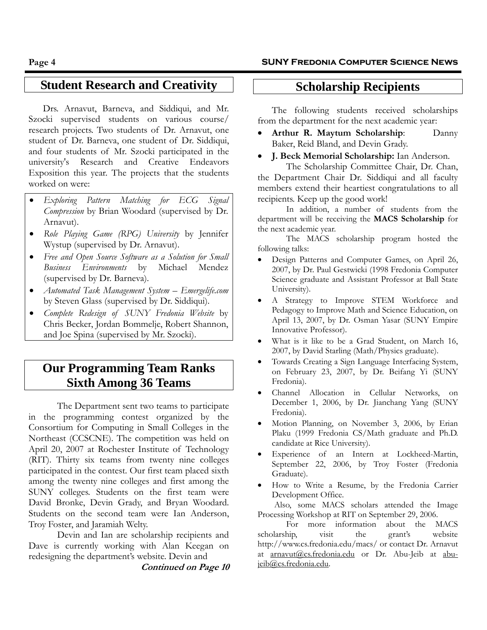# **Student Research and Creativity**

Drs. Arnavut, Barneva, and Siddiqui, and Mr. Szocki supervised students on various course/ research projects. Two students of Dr. Arnavut, one student of Dr. Barneva, one student of Dr. Siddiqui, and four students of Mr. Szocki participated in the university's Research and Creative Endeavors Exposition this year. The projects that the students worked on were:

- *Exploring Pattern Matching for ECG Signal Compression* by Brian Woodard (supervised by Dr. Arnavut).
- *Role Playing Game (RPG) University* by Jennifer Wystup (supervised by Dr. Arnavut).
- *Free and Open Source Software as a Solution for Small Business Environments* by Michael Mendez (supervised by Dr. Barneva).
- *Automated Task Management System Emergelife.com* by Steven Glass (supervised by Dr. Siddiqui).
- *Complete Redesign of SUNY Fredonia Website* by Chris Becker, Jordan Bommelje, Robert Shannon, and Joe Spina (supervised by Mr. Szocki).

# **Our Programming Team Ranks Sixth Among 36 Teams**

The Department sent two teams to participate in the programming contest organized by the Consortium for Computing in Small Colleges in the Northeast (CCSCNE). The competition was held on April 20, 2007 at Rochester Institute of Technology (RIT). Thirty six teams from twenty nine colleges participated in the contest. Our first team placed sixth among the twenty nine colleges and first among the SUNY colleges. Students on the first team were David Bronke, Devin Grady, and Bryan Woodard. Students on the second team were Ian Anderson, Troy Foster, and Jaramiah Welty.

 Devin and Ian are scholarship recipients and Dave is currently working with Alan Keegan on redesigning the department's website. Devin and

**Continued on Page 10** 

# **Scholarship Recipients**

The following students received scholarships from the department for the next academic year:

- **Arthur R. Maytum Scholarship**: Danny Baker, Reid Bland, and Devin Grady.
- **J. Beck Memorial Scholarship:** Ian Anderson.

The Scholarship Committee Chair, Dr. Chan, the Department Chair Dr. Siddiqui and all faculty members extend their heartiest congratulations to all recipients. Keep up the good work!

In addition, a number of students from the department will be receiving the **MACS Scholarship** for the next academic year.

The MACS scholarship program hosted the following talks:

- Design Patterns and Computer Games, on April 26, 2007, by Dr. Paul Gestwicki (1998 Fredonia Computer Science graduate and Assistant Professor at Ball State University).
- A Strategy to Improve STEM Workforce and Pedagogy to Improve Math and Science Education, on April 13, 2007, by Dr. Osman Yasar (SUNY Empire Innovative Professor).
- What is it like to be a Grad Student, on March 16, 2007, by David Starling (Math/Physics graduate).
- Towards Creating a Sign Language Interfacing System, on February 23, 2007, by Dr. Beifang Yi (SUNY Fredonia).
- Channel Allocation in Cellular Networks, on December 1, 2006, by Dr. Jianchang Yang (SUNY Fredonia).
- Motion Planning, on November 3, 2006, by Erian Plaku (1999 Fredonia CS/Math graduate and Ph.D. candidate at Rice University).
- Experience of an Intern at Lockheed-Martin, September 22, 2006, by Troy Foster (Fredonia Graduate).
- How to Write a Resume, by the Fredonia Carrier Development Office.

Also, some MACS scholars attended the Image Processing Workshop at RIT on September 29, 2006.

For more information about the MACS scholarship, visit the grant's website http://www.cs.fredonia.edu/macs/ or contact Dr. Arnavut at [arnavut@cs.fredonia.edu](mailto:arnavut@cs.fredonia.edu) or Dr. Abu-Jeib at [abu](mailto:abu-jeib@cs.fredonia.edu)[jeib@cs.fredonia.edu](mailto:abu-jeib@cs.fredonia.edu).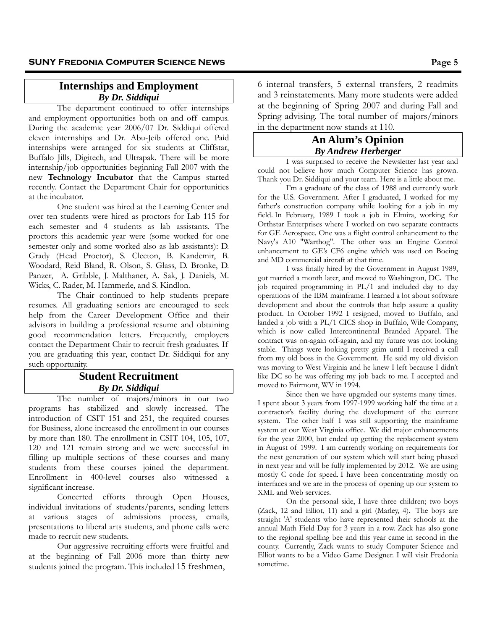#### **Internships and Employment**  *By Dr. Siddiqui*

The department continued to offer internships and employment opportunities both on and off campus. During the academic year 2006/07 Dr. Siddiqui offered eleven internships and Dr. Abu-Jeib offered one. Paid internships were arranged for six students at Cliffstar, Buffalo Jills, Digitech, and Ultrapak. There will be more internship/job opportunities beginning Fall 2007 with the new **Technology Incubator** that the Campus started recently. Contact the Department Chair for opportunities at the incubator.

One student was hired at the Learning Center and over ten students were hired as proctors for Lab 115 for each semester and 4 students as lab assistants. The proctors this academic year were (some worked for one semester only and some worked also as lab assistants): D. Grady (Head Proctor), S. Cleeton, B. Kandemir, B. Woodard, Reid Bland, R. Olson, S. Glass, D. Bronke, D. Panzer, A. Gribble, J. Malthaner, A. Sak, J. Daniels, M. Wicks, C. Rader, M. Hammerle, and S. Kindlon.

The Chair continued to help students prepare resumes. All graduating seniors are encouraged to seek help from the Career Development Office and their advisors in building a professional resume and obtaining good recommendation letters. Frequently, employers contact the Department Chair to recruit fresh graduates. If you are graduating this year, contact Dr. Siddiqui for any such opportunity.

#### **Student Recruitment**  *By Dr. Siddiqui*

The number of majors/minors in our two programs has stabilized and slowly increased. The introduction of CSIT 151 and 251, the required courses for Business, alone increased the enrollment in our courses by more than 180. The enrollment in CSIT 104, 105, 107, 120 and 121 remain strong and we were successful in filling up multiple sections of these courses and many students from these courses joined the department. Enrollment in 400-level courses also witnessed a significant increase.

Concerted efforts through Open Houses, individual invitations of students/parents, sending letters at various stages of admissions process, emails, presentations to liberal arts students, and phone calls were made to recruit new students.

Our aggressive recruiting efforts were fruitful and at the beginning of Fall 2006 more than thirty new students joined the program. This included 15 freshmen,

6 internal transfers, 5 external transfers, 2 readmits and 3 reinstatements. Many more students were added at the beginning of Spring 2007 and during Fall and Spring advising. The total number of majors/minors in the department now stands at 110.

#### **An Alum's Opinion**  *By Andrew Herberger*

I was surprised to receive the Newsletter last year and could not believe how much Computer Science has grown. Thank you Dr. Siddiqui and your team. Here is a little about me.

I'm a graduate of the class of 1988 and currently work for the U.S. Government. After I graduated, I worked for my father's construction company while looking for a job in my field. In February, 1989 I took a job in Elmira, working for Orthstar Enterprises where I worked on two separate contracts for GE Aerospace. One was a flight control enhancement to the Navy's A10 "Warthog". The other was an Engine Control enhancement to GE's CF6 engine which was used on Boeing and MD commercial aircraft at that time.

I was finally hired by the Government in August 1989, got married a month later, and moved to Washington, DC. The job required programming in PL/1 and included day to day operations of the IBM mainframe. I learned a lot about software development and about the controls that help assure a quality product. In October 1992 I resigned, moved to Buffalo, and landed a job with a PL/1 CICS shop in Buffalo, Wile Company, which is now called Intercontinental Branded Apparel. The contract was on-again off-again, and my future was not looking stable. Things were looking pretty grim until I received a call from my old boss in the Government. He said my old division was moving to West Virginia and he knew I left because I didn't like DC so he was offering my job back to me. I accepted and moved to Fairmont, WV in 1994.

Since then we have upgraded our systems many times. I spent about 3 years from 1997-1999 working half the time at a contractor's facility during the development of the current system. The other half I was still supporting the mainframe system at our West Virginia office. We did major enhancements for the year 2000, but ended up getting the replacement system in August of 1999. I am currently working on requirements for the next generation of our system which will start being phased in next year and will be fully implemented by 2012. We are using mostly C code for speed. I have been concentrating mostly on interfaces and we are in the process of opening up our system to XML and Web services.

On the personal side, I have three children; two boys (Zack, 12 and Elliot, 11) and a girl (Marley, 4). The boys are straight 'A' students who have represented their schools at the annual Math Field Day for 3 years in a row. Zack has also gone to the regional spelling bee and this year came in second in the county. Currently, Zack wants to study Computer Science and Elliot wants to be a Video Game Designer. I will visit Fredonia sometime.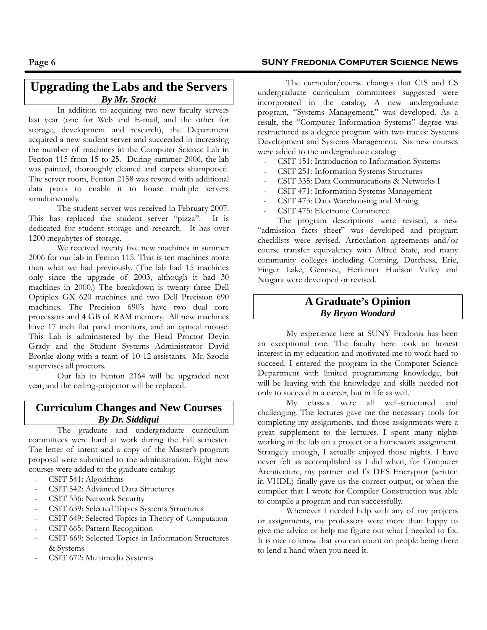## **Upgrading the Labs and the Servers** *By Mr. Szocki*

In addition to acquiring two new faculty servers last year (one for Web and E-mail, and the other for storage, development and research), the Department acquired a new student server and succeeded in increasing the number of machines in the Computer Science Lab in Fenton 115 from 15 to 25. During summer 2006, the lab was painted, thoroughly cleaned and carpets shampooed. The server room, Fenton 2158 was rewired with additional data ports to enable it to house multiple servers simultaneously.

The student server was received in February 2007. This has replaced the student server "pizza". It is dedicated for student storage and research. It has over 1200 megabytes of storage.

We received twenty five new machines in summer 2006 for our lab in Fenton 115. That is ten machines more than what we had previously. (The lab had 15 machines only since the upgrade of 2003, although it had 30 machines in 2000.) The breakdown is twenty three Dell Optiplex GX 620 machines and two Dell Precision 690 machines. The Precision 690's have two dual core processors and 4 GB of RAM memory. All new machines have 17 inch flat panel monitors, and an optical mouse. This Lab is administered by the Head Proctor Devin Grady and the Student Systems Administrator David Bronke along with a team of 10-12 assistants. Mr. Szocki supervises all proctors.

Our lab in Fenton 2164 will be upgraded next year, and the ceiling-projector will be replaced.

#### **Curriculum Changes and New Courses**  *By Dr. Siddiqui*

The graduate and undergraduate curriculum committees were hard at work during the Fall semester. The letter of intent and a copy of the Master's program proposal were submitted to the administration. Eight new courses were added to the graduate catalog:

- CSIT 541: Algorithms
- CSIT 542: Advanced Data Structures
- CSIT 536: Network Security
- CSIT 639: Selected Topics Systems Structures
- CSIT 649: Selected Topics in Theory of Computation
- CSIT 665: Pattern Recognition
- CSIT 669: Selected Topics in Information Structures & Systems
- CSIT 672: Multimedia Systems

#### **Page 6 SUNY Fredonia Computer Science News**

The curricular/course changes that CIS and CS undergraduate curriculum committees suggested were incorporated in the catalog. A new undergraduate program, "Systems Management," was developed. As a result, the "Computer Information Systems" degree was restructured as a degree program with two tracks: Systems Development and Systems Management. Six new courses were added to the undergraduate catalog:

- CSIT 151: Introduction to Information Systems
- CSIT 251: Information Systems Structures
- CSIT 335: Data Communications & Networks I
- CSIT 471: Information Systems Management
- CSIT 473: Data Warehousing and Mining
- CSIT 475: Electronic Commerce

The program descriptions were revised, a new "admission facts sheet" was developed and program checklists were revised. Articulation agreements and/or course transfer equivalency with Alfred State, and many community colleges including Corning, Dutchess, Erie, Finger Lake, Genesee, Herkimer Hudson Valley and Niagara were developed or revised.

#### **A Graduate's Opinion**  *By Bryan Woodard*

My experience here at SUNY Fredonia has been an exceptional one. The faculty here took an honest interest in my education and motivated me to work hard to succeed. I entered the program in the Computer Science Department with limited programming knowledge, but will be leaving with the knowledge and skills needed not only to succeed in a career, but in life as well.

My classes were all well-structured and challenging. The lectures gave me the necessary tools for completing my assignments, and those assignments were a great supplement to the lectures. I spent many nights working in the lab on a project or a homework assignment. Strangely enough, I actually enjoyed those nights. I have never felt as accomplished as I did when, for Computer Architecture, my partner and I's DES Encryptor (written in VHDL) finally gave us the correct output, or when the compiler that I wrote for Compiler Construction was able to compile a program and run successfully.

Whenever I needed help with any of my projects or assignments, my professors were more than happy to give me advice or help me figure out what I needed to fix. It is nice to know that you can count on people being there to lend a hand when you need it.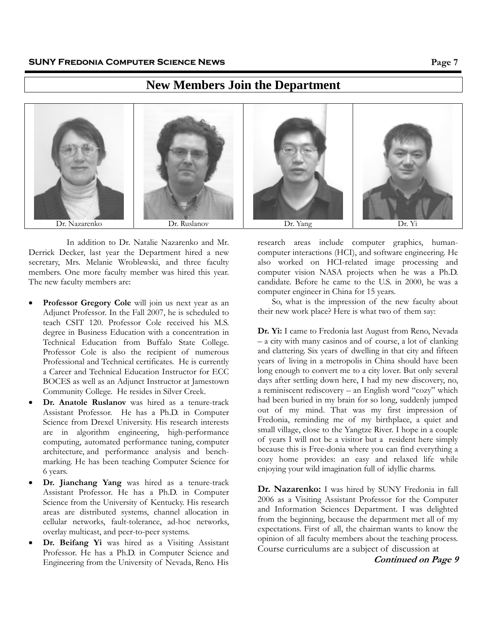# **New Members Join the Department**



In addition to Dr. Natalie Nazarenko and Mr. Derrick Decker, last year the Department hired a new secretary, Mrs. Melanie Wroblewski, and three faculty members. One more faculty member was hired this year. The new faculty members are:

- **Professor Gregory Cole** will join us next year as an Adjunct Professor. In the Fall 2007, he is scheduled to teach CSIT 120. Professor Cole received his M.S. degree in Business Education with a concentration in Technical Education from Buffalo State College. Professor Cole is also the recipient of numerous Professional and Technical certificates. He is currently a Career and Technical Education Instructor for ECC BOCES as well as an Adjunct Instructor at Jamestown Community College. He resides in Silver Creek.
- **Dr. Anatole Ruslanov** was hired as a tenure-track Assistant Professor. He has a Ph.D. in Computer Science from Drexel University. His research interests are in algorithm engineering, high-performance computing, automated performance tuning, computer architecture, and performance analysis and benchmarking. He has been teaching Computer Science for 6 years.
- **Dr. Jianchang Yang** was hired as a tenure-track Assistant Professor. He has a Ph.D. in Computer Science from the University of Kentucky. His research areas are distributed systems, channel allocation in cellular networks, fault-tolerance, ad-hoc networks, overlay multicast, and peer-to-peer systems.
- Dr. Beifang Yi was hired as a Visiting Assistant Professor. He has a Ph.D. in Computer Science and Engineering from the University of Nevada, Reno. His

research areas include computer graphics, humancomputer interactions (HCI), and software engineering. He also worked on HCI-related image processing and computer vision NASA projects when he was a Ph.D. candidate. Before he came to the U.S. in 2000, he was a computer engineer in China for 15 years.

So, what is the impression of the new faculty about their new work place? Here is what two of them say:

**Dr. Yi:** I came to Fredonia last August from Reno, Nevada – a city with many casinos and of course, a lot of clanking and clattering. Six years of dwelling in that city and fifteen years of living in a metropolis in China should have been long enough to convert me to a city lover. But only several days after settling down here, I had my new discovery, no, a reminiscent rediscovery – an English word "cozy" which had been buried in my brain for so long, suddenly jumped out of my mind. That was my first impression of Fredonia, reminding me of my birthplace, a quiet and small village, close to the Yangtze River. I hope in a couple of years I will not be a visitor but a resident here simply because this is Free-donia where you can find everything a cozy home provides: an easy and relaxed life while enjoying your wild imagination full of idyllic charms.

**Dr. Nazarenko:** I was hired by SUNY Fredonia in fall 2006 as a Visiting Assistant Professor for the Computer and Information Sciences Department. I was delighted from the beginning, because the department met all of my expectations. First of all, the chairman wants to know the opinion of all faculty members about the teaching process. Course curriculums are a subject of discussion at

**Continued on Page 9**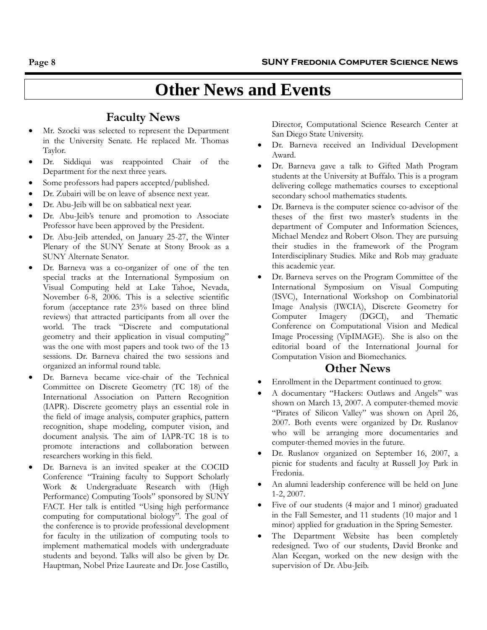# **Other News and Events**

# **Faculty News**

- Mr. Szocki was selected to represent the Department in the University Senate. He replaced Mr. Thomas Taylor.
- Dr. Siddiqui was reappointed Chair of the Department for the next three years.
- Some professors had papers accepted/published.
- Dr. Zubairi will be on leave of absence next year.
- Dr. Abu-Jeib will be on sabbatical next year.
- Dr. Abu-Jeib's tenure and promotion to Associate Professor have been approved by the President.
- Dr. Abu-Jeib attended, on January 25-27, the Winter Plenary of the SUNY Senate at Stony Brook as a SUNY Alternate Senator.
- Dr. Barneva was a co-organizer of one of the ten special tracks at the International Symposium on Visual Computing held at Lake Tahoe, Nevada, November 6-8, 2006. This is a selective scientific forum (acceptance rate 23% based on three blind reviews) that attracted participants from all over the world. The track "Discrete and computational geometry and their application in visual computing" was the one with most papers and took two of the 13 sessions. Dr. Barneva chaired the two sessions and organized an informal round table.
- Dr. Barneva became vice-chair of the Technical Committee on Discrete Geometry (TC 18) of the International Association on Pattern Recognition (IAPR). Discrete geometry plays an essential role in the field of image analysis, computer graphics, pattern recognition, shape modeling, computer vision, and document analysis. The aim of IAPR-TC 18 is to promote interactions and collaboration between researchers working in this field.
- Dr. Barneva is an invited speaker at the COCID Conference "Training faculty to Support Scholarly Work & Undergraduate Research with (High Performance) Computing Tools" sponsored by SUNY FACT. Her talk is entitled "Using high performance computing for computational biology". The goal of the conference is to provide professional development for faculty in the utilization of computing tools to implement mathematical models with undergraduate students and beyond. Talks will also be given by Dr. Hauptman, Nobel Prize Laureate and Dr. Jose Castillo,

Director, Computational Science Research Center at San Diego State University.

- Dr. Barneva received an Individual Development Award.
- Dr. Barneva gave a talk to Gifted Math Program students at the University at Buffalo. This is a program delivering college mathematics courses to exceptional secondary school mathematics students.
- Dr. Barneva is the computer science co-advisor of the theses of the first two master's students in the department of Computer and Information Sciences, Michael Mendez and Robert Olson. They are pursuing their studies in the framework of the Program Interdisciplinary Studies. Mike and Rob may graduate this academic year.
- Dr. Barneva serves on the Program Committee of the International Symposium on Visual Computing (ISVC), International Workshop on Combinatorial Image Analysis (IWCIA), Discrete Geometry for Computer Imagery (DGCI), and Thematic Conference on Computational Vision and Medical Image Processing (VipIMAGE). She is also on the editorial board of the International Journal for Computation Vision and Biomechanics.

## **Other News**

- Enrollment in the Department continued to grow.
- A documentary "Hackers: Outlaws and Angels" was shown on March 13, 2007. A computer-themed movie "Pirates of Silicon Valley" was shown on April 26, 2007. Both events were organized by Dr. Ruslanov who will be arranging more documentaries and computer-themed movies in the future.
- Dr. Ruslanov organized on September 16, 2007, a picnic for students and faculty at Russell Joy Park in Fredonia.
- An alumni leadership conference will be held on June 1-2, 2007.
- Five of our students (4 major and 1 minor) graduated in the Fall Semester, and 11 students (10 major and 1 minor) applied for graduation in the Spring Semester.
- The Department Website has been completely redesigned. Two of our students, David Bronke and Alan Keegan, worked on the new design with the supervision of Dr. Abu-Jeib.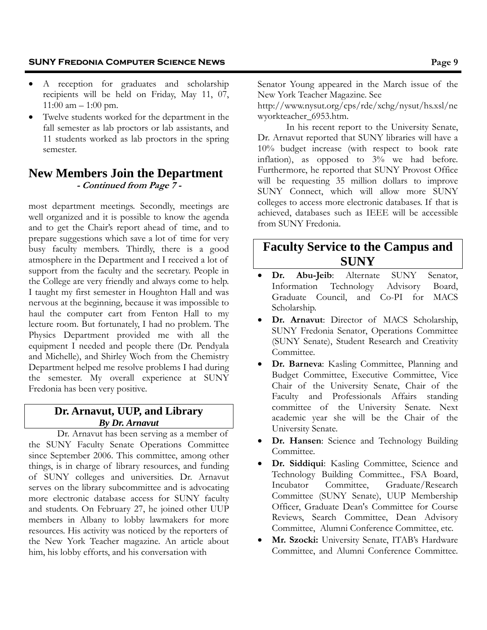- A reception for graduates and scholarship recipients will be held on Friday, May 11, 07, 11:00 am – 1:00 pm.
- Twelve students worked for the department in the fall semester as lab proctors or lab assistants, and 11 students worked as lab proctors in the spring semester.

# **New Members Join the Department - Continued from Page 7 -**

most department meetings. Secondly, meetings are well organized and it is possible to know the agenda and to get the Chair's report ahead of time, and to prepare suggestions which save a lot of time for very busy faculty members. Thirdly, there is a good atmosphere in the Department and I received a lot of support from the faculty and the secretary. People in the College are very friendly and always come to help. I taught my first semester in Houghton Hall and was nervous at the beginning, because it was impossible to haul the computer cart from Fenton Hall to my lecture room. But fortunately, I had no problem. The Physics Department provided me with all the equipment I needed and people there (Dr. Pendyala and Michelle), and Shirley Woch from the Chemistry Department helped me resolve problems I had during the semester. My overall experience at SUNY Fredonia has been very positive.

## **Dr. Arnavut, UUP, and Library**  *By Dr. Arnavut*

Dr. Arnavut has been serving as a member of the SUNY Faculty Senate Operations Committee since September 2006. This committee, among other things, is in charge of library resources, and funding of SUNY colleges and universities. Dr. Arnavut serves on the library subcommittee and is advocating more electronic database access for SUNY faculty and students. On February 27, he joined other UUP members in Albany to lobby lawmakers for more resources. His activity was noticed by the reporters of the New York Teacher magazine. An article about him, his lobby efforts, and his conversation with

Senator Young appeared in the March issue of the New York Teacher Magazine. See

http://www.nysut.org/cps/rde/xchg/nysut/hs.xsl/ne wyorkteacher\_6953.htm.

In his recent report to the University Senate, Dr. Arnavut reported that SUNY libraries will have a 10% budget increase (with respect to book rate inflation), as opposed to 3% we had before. Furthermore, he reported that SUNY Provost Office will be requesting 35 million dollars to improve SUNY Connect, which will allow more SUNY colleges to access more electronic databases. If that is achieved, databases such as IEEE will be accessible from SUNY Fredonia.

# **Faculty Service to the Campus and SUNY**

- Dr. Abu-Jeib: Alternate SUNY Senator, Information Technology Advisory Board, Graduate Council, and Co-PI for MACS Scholarship.
- Dr. Arnavut: Director of MACS Scholarship, SUNY Fredonia Senator, Operations Committee (SUNY Senate), Student Research and Creativity Committee.
- **Dr. Barneva**: Kasling Committee, Planning and Budget Committee, Executive Committee, Vice Chair of the University Senate, Chair of the Faculty and Professionals Affairs standing committee of the University Senate. Next academic year she will be the Chair of the University Senate.
- **Dr. Hansen:** Science and Technology Building Committee.
- **Dr. Siddiqui**: Kasling Committee, Science and Technology Building Committee., FSA Board, Incubator Committee, Graduate/Research Committee (SUNY Senate), UUP Membership Officer, Graduate Dean's Committee for Course Reviews, Search Committee, Dean Advisory Committee, Alumni Conference Committee, etc.
- **Mr. Szocki:** University Senate, ITAB's Hardware Committee, and Alumni Conference Committee.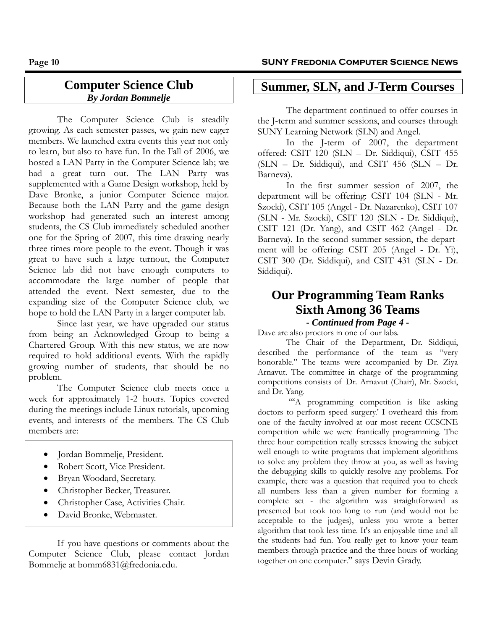## **Computer Science Club**  *By Jordan Bommelje*

The Computer Science Club is steadily growing. As each semester passes, we gain new eager members. We launched extra events this year not only to learn, but also to have fun. In the Fall of 2006, we hosted a LAN Party in the Computer Science lab; we had a great turn out. The LAN Party was supplemented with a Game Design workshop, held by Dave Bronke, a junior Computer Science major. Because both the LAN Party and the game design workshop had generated such an interest among students, the CS Club immediately scheduled another one for the Spring of 2007, this time drawing nearly three times more people to the event. Though it was great to have such a large turnout, the Computer Science lab did not have enough computers to accommodate the large number of people that attended the event. Next semester, due to the expanding size of the Computer Science club, we hope to hold the LAN Party in a larger computer lab.

Since last year, we have upgraded our status from being an Acknowledged Group to being a Chartered Group. With this new status, we are now required to hold additional events. With the rapidly growing number of students, that should be no problem.

The Computer Science club meets once a week for approximately 1-2 hours. Topics covered during the meetings include Linux tutorials, upcoming events, and interests of the members. The CS Club members are:

- Jordan Bommelje, President.
- Robert Scott, Vice President.
- Bryan Woodard, Secretary.
- Christopher Becker, Treasurer.
- Christopher Case, Activities Chair.
- David Bronke, Webmaster.

If you have questions or comments about the Computer Science Club, please contact Jordan Bommelje at bomm6831@fredonia.edu.

## **Summer, SLN, and J-Term Courses**

The department continued to offer courses in the J-term and summer sessions, and courses through SUNY Learning Network (SLN) and Angel.

In the J-term of 2007, the department offered: CSIT 120 (SLN – Dr. Siddiqui), CSIT 455 (SLN – Dr. Siddiqui), and CSIT 456 (SLN – Dr. Barneva).

In the first summer session of 2007, the department will be offering: CSIT 104 (SLN - Mr. Szocki), CSIT 105 (Angel - Dr. Nazarenko), CSIT 107 (SLN - Mr. Szocki), CSIT 120 (SLN - Dr. Siddiqui), CSIT 121 (Dr. Yang), and CSIT 462 (Angel - Dr. Barneva). In the second summer session, the department will be offering: CSIT 205 (Angel - Dr. Yi), CSIT 300 (Dr. Siddiqui), and CSIT 431 (SLN - Dr. Siddiqui).

# **Our Programming Team Ranks Sixth Among 36 Teams**

#### *- Continued from Page 4 -*

Dave are also proctors in one of our labs.

The Chair of the Department, Dr. Siddiqui, described the performance of the team as "very honorable." The teams were accompanied by Dr. Ziya Arnavut. The committee in charge of the programming competitions consists of Dr. Arnavut (Chair), Mr. Szocki, and Dr. Yang.

""A programming competition is like asking doctors to perform speed surgery.' I overheard this from one of the faculty involved at our most recent CCSCNE competition while we were frantically programming. The three hour competition really stresses knowing the subject well enough to write programs that implement algorithms to solve any problem they throw at you, as well as having the debugging skills to quickly resolve any problems. For example, there was a question that required you to check all numbers less than a given number for forming a complete set - the algorithm was straightforward as presented but took too long to run (and would not be acceptable to the judges), unless you wrote a better algorithm that took less time. It's an enjoyable time and all the students had fun. You really get to know your team members through practice and the three hours of working together on one computer." says Devin Grady.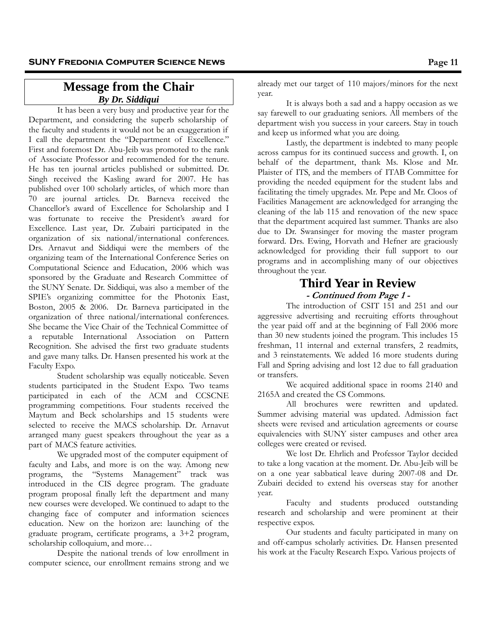## **Message from the Chair**  *By Dr. Siddiqui*

It has been a very busy and productive year for the Department, and considering the superb scholarship of the faculty and students it would not be an exaggeration if I call the department the "Department of Excellence." First and foremost Dr. Abu-Jeib was promoted to the rank of Associate Professor and recommended for the tenure. He has ten journal articles published or submitted. Dr. Singh received the Kasling award for 2007. He has published over 100 scholarly articles, of which more than 70 are journal articles. Dr. Barneva received the Chancellor's award of Excellence for Scholarship and I was fortunate to receive the President's award for Excellence. Last year, Dr. Zubairi participated in the organization of six national/international conferences. Drs. Arnavut and Siddiqui were the members of the organizing team of the International Conference Series on Computational Science and Education, 2006 which was sponsored by the Graduate and Research Committee of the SUNY Senate. Dr. Siddiqui, was also a member of the SPIE's organizing committee for the Photonix East, Boston, 2005 & 2006. Dr. Barneva participated in the organization of three national/international conferences. She became the Vice Chair of the Technical Committee of a reputable International Association on Pattern Recognition. She advised the first two graduate students and gave many talks. Dr. Hansen presented his work at the Faculty Expo.

Student scholarship was equally noticeable. Seven students participated in the Student Expo. Two teams participated in each of the ACM and CCSCNE programming competitions. Four students received the Maytum and Beck scholarships and 15 students were selected to receive the MACS scholarship. Dr. Arnavut arranged many guest speakers throughout the year as a part of MACS feature activities.

We upgraded most of the computer equipment of faculty and Labs, and more is on the way. Among new programs, the "Systems Management" track was introduced in the CIS degree program. The graduate program proposal finally left the department and many new courses were developed. We continued to adapt to the changing face of computer and information sciences education. New on the horizon are: launching of the graduate program, certificate programs, a 3+2 program, scholarship colloquium, and more…

Despite the national trends of low enrollment in computer science, our enrollment remains strong and we

already met our target of 110 majors/minors for the next year.

 It is always both a sad and a happy occasion as we say farewell to our graduating seniors. All members of the department wish you success in your careers. Stay in touch and keep us informed what you are doing.

 Lastly, the department is indebted to many people across campus for its continued success and growth. I, on behalf of the department, thank Ms. Klose and Mr. Plaister of ITS, and the members of ITAB Committee for providing the needed equipment for the student labs and facilitating the timely upgrades. Mr. Pepe and Mr. Cloos of Facilities Management are acknowledged for arranging the cleaning of the lab 115 and renovation of the new space that the department acquired last summer. Thanks are also due to Dr. Swansinger for moving the master program forward. Drs. Ewing, Horvath and Hefner are graciously acknowledged for providing their full support to our programs and in accomplishing many of our objectives throughout the year.

## **Third Year in Review - Continued from Page 1 -**

The introduction of CSIT 151 and 251 and our aggressive advertising and recruiting efforts throughout the year paid off and at the beginning of Fall 2006 more than 30 new students joined the program. This includes 15 freshman, 11 internal and external transfers, 2 readmits, and 3 reinstatements. We added 16 more students during Fall and Spring advising and lost 12 due to fall graduation or transfers.

We acquired additional space in rooms 2140 and 2165A and created the CS Commons.

All brochures were rewritten and updated. Summer advising material was updated. Admission fact sheets were revised and articulation agreements or course equivalencies with SUNY sister campuses and other area colleges were created or revised.

We lost Dr. Ehrlich and Professor Taylor decided to take a long vacation at the moment. Dr. Abu-Jeib will be on a one year sabbatical leave during 2007-08 and Dr. Zubairi decided to extend his overseas stay for another year.

Faculty and students produced outstanding research and scholarship and were prominent at their respective expos.

Our students and faculty participated in many on and off-campus scholarly activities. Dr. Hansen presented his work at the Faculty Research Expo. Various projects of